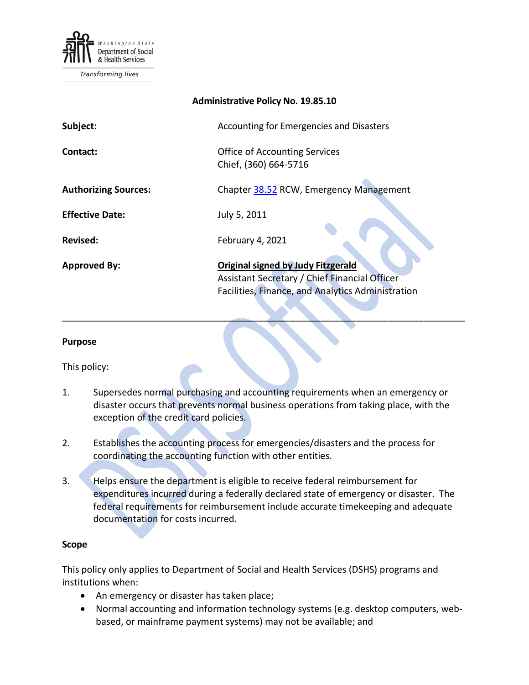

Transforming lives

| <b>Administrative Policy No. 19.85.10</b> |                                                                                                                                                 |
|-------------------------------------------|-------------------------------------------------------------------------------------------------------------------------------------------------|
| Subject:                                  | Accounting for Emergencies and Disasters                                                                                                        |
| Contact:                                  | <b>Office of Accounting Services</b><br>Chief, (360) 664-5716                                                                                   |
| <b>Authorizing Sources:</b>               | Chapter 38.52 RCW, Emergency Management                                                                                                         |
| <b>Effective Date:</b>                    | July 5, 2011                                                                                                                                    |
| <b>Revised:</b>                           | February 4, 2021                                                                                                                                |
| <b>Approved By:</b>                       | <b>Original signed by Judy Fitzgerald</b><br>Assistant Secretary / Chief Financial Officer<br>Facilities, Finance, and Analytics Administration |

#### **Purpose**

This policy:

1. Supersedes normal purchasing and accounting requirements when an emergency or disaster occurs that prevents normal business operations from taking place, with the exception of the credit card policies.

\_\_\_\_\_\_\_\_\_\_\_\_\_\_\_\_\_\_\_\_\_\_\_\_\_\_\_\_\_\_\_\_\_\_\_\_\_\_\_\_\_\_\_\_\_\_\_\_\_\_\_\_\_\_\_\_\_\_\_\_\_\_\_\_\_\_\_\_\_\_\_\_\_\_\_\_\_\_

- 2. Establishes the accounting process for emergencies/disasters and the process for coordinating the accounting function with other entities.
- 3. Helps ensure the department is eligible to receive federal reimbursement for expenditures incurred during a federally declared state of emergency or disaster. The federal requirements for reimbursement include accurate timekeeping and adequate documentation for costs incurred.

#### **Scope**

This policy only applies to Department of Social and Health Services (DSHS) programs and institutions when:

- An emergency or disaster has taken place;
- Normal accounting and information technology systems (e.g. desktop computers, webbased, or mainframe payment systems) may not be available; and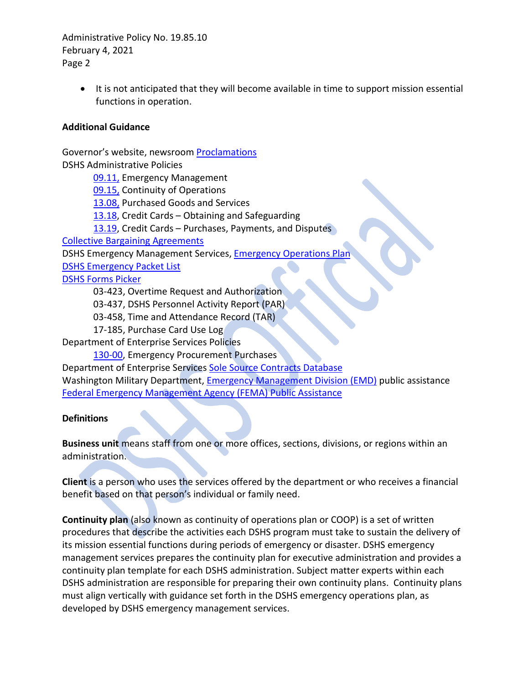> • It is not anticipated that they will become available in time to support mission essential functions in operation.

# **Additional Guidance**

Governor's website, newsroom [Proclamations](http://www.governor.wa.gov/office-governor/official-actions/proclamations) DSHS Administrative Policies

[09.11,](http://one.dshs.wa.lcl/Policies/Administrative/DSHS-AP-09-11.pdf) Emergency Management

[09.15,](http://one.dshs.wa.lcl/Policies/Administrative/DSHS-AP-09-15.pdf) Continuity of Operations

[13.08,](http://one.dshs.wa.lcl/Policies/Administrative/DSHS-AP-13-08.pdf) Purchased Goods and Services

[13.18,](http://one.dshs.wa.lcl/Policies/Administrative/DSHS-AP-13-18.pdf) Credit Cards – Obtaining and Safeguarding

[13.19,](http://one.dshs.wa.lcl/Policies/Administrative/DSHS-AP-13-19.pdf) Credit Cards – Purchases, Payments, and Disputes

[Collective Bargaining Agreements](http://www.ofm.wa.gov/labor/agreements/)

DSHS Emergency Management Services, [Emergency Operations Plan](http://one.dshs.wa.lcl/EM/Operations/ERP/Emergency%20Operations%20Plan%2018_SEP_01.pdf)

[DSHS Emergency Packet](http://one.dshs.wa.lcl/EM/Operations/Pages/default.aspx) List

[DSHS Forms Picker](http://forms.dshs.wa.lcl/)

03-423, Overtime Request and Authorization

03-437, DSHS Personnel Activity Report (PAR)

03-458, Time and Attendance Record (TAR)

17-185, Purchase Card Use Log

Department of Enterprise Services Policies

[130-00,](http://www.des.wa.gov/SiteCollectionDocuments/About/Procurement_reform/Policies/DES-130-00EmergencyProcurePurch.pdf) Emergency Procurement Purchases

Department of Enterprise Services [Sole Source Contracts Database](http://des.wa.gov/services/contracting-purchasing/policies-training/sole-source-contracts-database/filing-justification-samples) Washington Military Department, [Emergency Management Division \(EMD\)](http://mil.wa.gov/emergency-management-division/disaster-assistance/public-assistance) public assistance [Federal Emergency Management Agency \(FEMA\)](http://www.fema.gov/public-assistance-local-state-tribal-and-non-profit) Public Assistance

### **Definitions**

**Business unit** means staff from one or more offices, sections, divisions, or regions within an administration.

**Client** is a person who uses the services offered by the department or who receives a financial benefit based on that person's individual or family need.

**Continuity plan** (also known as continuity of operations plan or COOP) is a set of written procedures that describe the activities each DSHS program must take to sustain the delivery of its mission essential functions during periods of emergency or disaster. DSHS emergency management services prepares the continuity plan for executive administration and provides a continuity plan template for each DSHS administration. Subject matter experts within each DSHS administration are responsible for preparing their own continuity plans. Continuity plans must align vertically with guidance set forth in the DSHS emergency operations plan, as developed by DSHS emergency management services.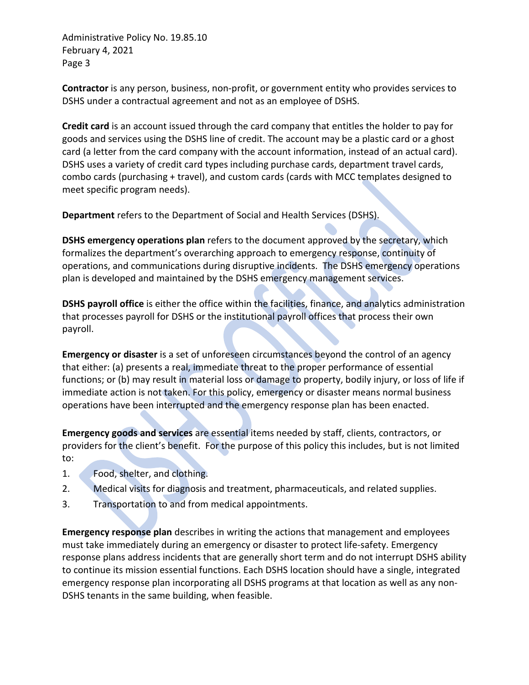**Contractor** is any person, business, non-profit, or government entity who provides services to DSHS under a contractual agreement and not as an employee of DSHS.

**Credit card** is an account issued through the card company that entitles the holder to pay for goods and services using the DSHS line of credit. The account may be a plastic card or a ghost card (a letter from the card company with the account information, instead of an actual card). DSHS uses a variety of credit card types including purchase cards, department travel cards, combo cards (purchasing + travel), and custom cards (cards with MCC templates designed to meet specific program needs).

**Department** refers to the Department of Social and Health Services (DSHS).

**DSHS emergency operations plan** refers to the document approved by the secretary, which formalizes the department's overarching approach to emergency response, continuity of operations, and communications during disruptive incidents. The DSHS emergency operations plan is developed and maintained by the DSHS emergency management services.

**DSHS payroll office** is either the office within the facilities, finance, and analytics administration that processes payroll for DSHS or the institutional payroll offices that process their own payroll.

**Emergency or disaster** is a set of unforeseen circumstances beyond the control of an agency that either: (a) presents a real, immediate threat to the proper performance of essential functions; or (b) may result in material loss or damage to property, bodily injury, or loss of life if immediate action is not taken. For this policy, emergency or disaster means normal business operations have been interrupted and the emergency response plan has been enacted.

**Emergency goods and services** are essential items needed by staff, clients, contractors, or providers for the client's benefit. For the purpose of this policy this includes, but is not limited to:

- 1. Food, shelter, and clothing.
- 2. Medical visits for diagnosis and treatment, pharmaceuticals, and related supplies.
- 3. Transportation to and from medical appointments.

**Emergency response plan** describes in writing the actions that management and employees must take immediately during an emergency or disaster to protect life-safety. Emergency response plans address incidents that are generally short term and do not interrupt DSHS ability to continue its mission essential functions. Each DSHS location should have a single, integrated emergency response plan incorporating all DSHS programs at that location as well as any non-DSHS tenants in the same building, when feasible.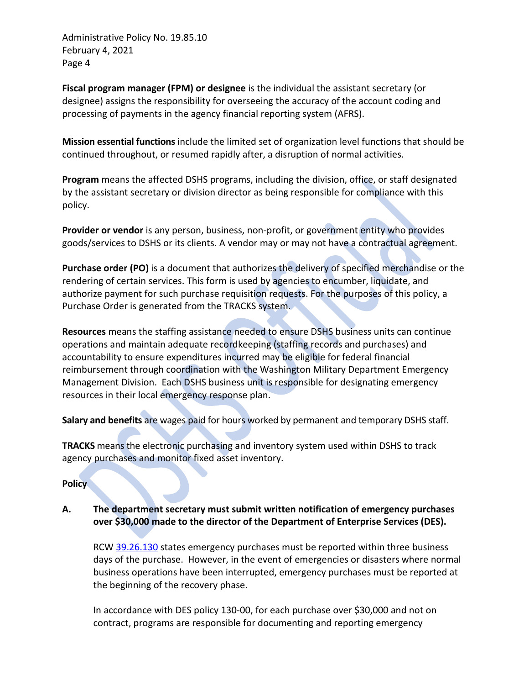**Fiscal program manager (FPM) or designee** is the individual the assistant secretary (or designee) assigns the responsibility for overseeing the accuracy of the account coding and processing of payments in the agency financial reporting system (AFRS).

**Mission essential functions** include the limited set of organization level functions that should be continued throughout, or resumed rapidly after, a disruption of normal activities.

**Program** means the affected DSHS programs, including the division, office, or staff designated by the assistant secretary or division director as being responsible for compliance with this policy.

**Provider or vendor** is any person, business, non-profit, or government entity who provides goods/services to DSHS or its clients. A vendor may or may not have a contractual agreement.

**Purchase order (PO)** is a document that authorizes the delivery of specified merchandise or the rendering of certain services. This form is used by agencies to encumber, liquidate, and authorize payment for such purchase requisition requests. For the purposes of this policy, a Purchase Order is generated from the TRACKS system.

**Resources** means the staffing assistance needed to ensure DSHS business units can continue operations and maintain adequate recordkeeping (staffing records and purchases) and accountability to ensure expenditures incurred may be eligible for federal financial reimbursement through coordination with the Washington Military Department Emergency Management Division. Each DSHS business unit is responsible for designating emergency resources in their local emergency response plan.

**Salary and benefits** are wages paid for hours worked by permanent and temporary DSHS staff.

**TRACKS** means the electronic purchasing and inventory system used within DSHS to track agency purchases and monitor fixed asset inventory.

### **Policy**

# **A. The department secretary must submit written notification of emergency purchases over \$30,000 made to the director of the Department of Enterprise Services (DES).**

RCW [39.26.130](http://apps.leg.wa.gov/rcw/default.aspx?cite=39.26.130) states emergency purchases must be reported within three business days of the purchase. However, in the event of emergencies or disasters where normal business operations have been interrupted, emergency purchases must be reported at the beginning of the recovery phase.

In accordance with DES policy 130-00, for each purchase over \$30,000 and not on contract, programs are responsible for documenting and reporting emergency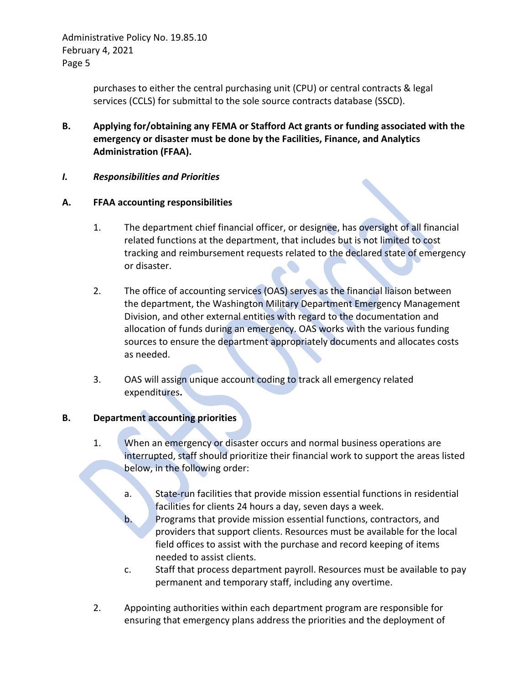> purchases to either the central purchasing unit (CPU) or central contracts & legal services (CCLS) for submittal to the sole source contracts database (SSCD).

- **B. Applying for/obtaining any FEMA or Stafford Act grants or funding associated with the emergency or disaster must be done by the Facilities, Finance, and Analytics Administration (FFAA).**
- *I. Responsibilities and Priorities*

## **A. FFAA accounting responsibilities**

- 1. The department chief financial officer, or designee, has oversight of all financial related functions at the department, that includes but is not limited to cost tracking and reimbursement requests related to the declared state of emergency or disaster.
- 2. The office of accounting services (OAS) serves as the financial liaison between the department, the Washington Military Department Emergency Management Division, and other external entities with regard to the documentation and allocation of funds during an emergency. OAS works with the various funding sources to ensure the department appropriately documents and allocates costs as needed.
- 3. OAS will assign unique account coding to track all emergency related expenditures**.**

# **B. Department accounting priorities**

- 1. When an emergency or disaster occurs and normal business operations are interrupted, staff should prioritize their financial work to support the areas listed below, in the following order:
	- a. State-run facilities that provide mission essential functions in residential facilities for clients 24 hours a day, seven days a week.
	- b. Programs that provide mission essential functions, contractors, and providers that support clients. Resources must be available for the local field offices to assist with the purchase and record keeping of items needed to assist clients.
	- c. Staff that process department payroll. Resources must be available to pay permanent and temporary staff, including any overtime.
- 2. Appointing authorities within each department program are responsible for ensuring that emergency plans address the priorities and the deployment of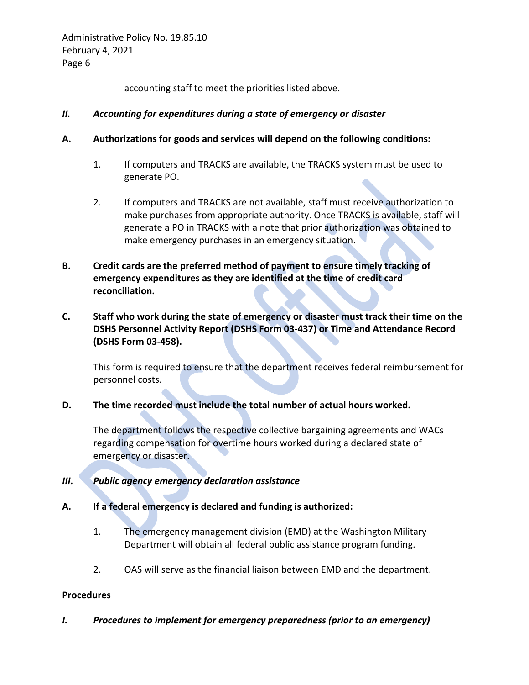accounting staff to meet the priorities listed above.

# *II. Accounting for expenditures during a state of emergency or disaster*

- **A. Authorizations for goods and services will depend on the following conditions:**
	- 1. If computers and TRACKS are available, the TRACKS system must be used to generate PO.
	- 2. If computers and TRACKS are not available, staff must receive authorization to make purchases from appropriate authority. Once TRACKS is available, staff will generate a PO in TRACKS with a note that prior authorization was obtained to make emergency purchases in an emergency situation.
- **B. Credit cards are the preferred method of payment to ensure timely tracking of emergency expenditures as they are identified at the time of credit card reconciliation.**
- **C. Staff who work during the state of emergency or disaster must track their time on the DSHS Personnel Activity Report (DSHS Form 03-437) or Time and Attendance Record (DSHS Form 03-458).**

This form is required to ensure that the department receives federal reimbursement for personnel costs.

# **D. The time recorded must include the total number of actual hours worked.**

The department follows the respective collective bargaining agreements and WACs regarding compensation for overtime hours worked during a declared state of emergency or disaster.

- *III. Public agency emergency declaration assistance*
- **A. If a federal emergency is declared and funding is authorized:** 
	- 1. The emergency management division (EMD) at the Washington Military Department will obtain all federal public assistance program funding.
	- 2. OAS will serve as the financial liaison between EMD and the department.

### **Procedures**

*I. Procedures to implement for emergency preparedness (prior to an emergency)*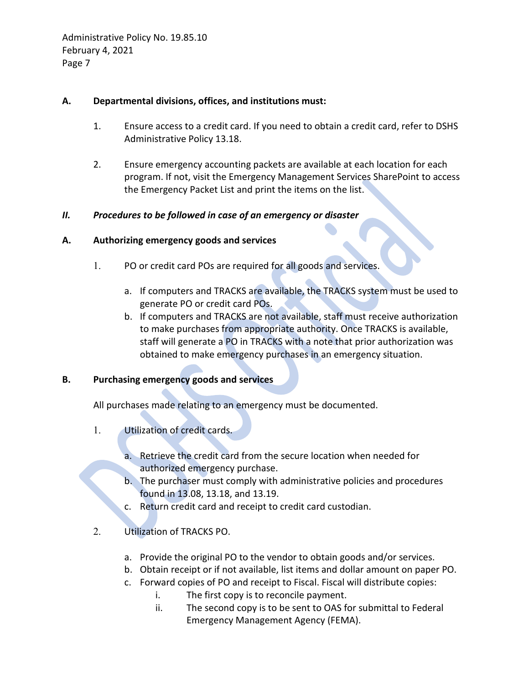## **A. Departmental divisions, offices, and institutions must:**

- 1. Ensure access to a credit card. If you need to obtain a credit card, refer to DSHS Administrative Policy 13.18.
- 2. Ensure emergency accounting packets are available at each location for each program. If not, visit the Emergency Management Services SharePoint to access the Emergency Packet List and print the items on the list.

## *II. Procedures to be followed in case of an emergency or disaster*

## **A. Authorizing emergency goods and services**

- 1. PO or credit card POs are required for all goods and services.
	- a. If computers and TRACKS are available, the TRACKS system must be used to generate PO or credit card POs.
	- b. If computers and TRACKS are not available, staff must receive authorization to make purchases from appropriate authority. Once TRACKS is available, staff will generate a PO in TRACKS with a note that prior authorization was obtained to make emergency purchases in an emergency situation.

# **B. Purchasing emergency goods and services**

All purchases made relating to an emergency must be documented.

- 1. Utilization of credit cards.
	- a. Retrieve the credit card from the secure location when needed for authorized emergency purchase.
	- b. The purchaser must comply with administrative policies and procedures found in 13.08, 13.18, and 13.19.
	- c. Return credit card and receipt to credit card custodian.
- 2. Utilization of TRACKS PO.
	- a. Provide the original PO to the vendor to obtain goods and/or services.
	- b. Obtain receipt or if not available, list items and dollar amount on paper PO.
	- c. Forward copies of PO and receipt to Fiscal. Fiscal will distribute copies:
		- i. The first copy is to reconcile payment.
			- ii. The second copy is to be sent to OAS for submittal to Federal Emergency Management Agency (FEMA).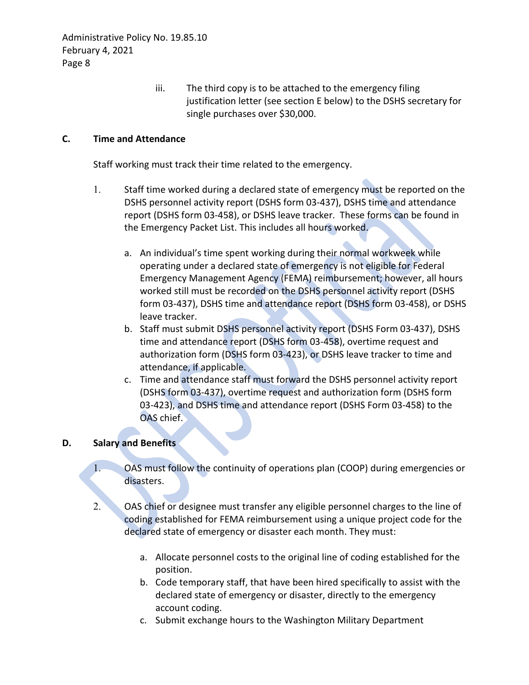iii. The third copy is to be attached to the emergency filing justification letter (see section E below) to the DSHS secretary for single purchases over \$30,000.

# **C. Time and Attendance**

Staff working must track their time related to the emergency.

- 1. Staff time worked during a declared state of emergency must be reported on the DSHS personnel activity report (DSHS form 03-437), DSHS time and attendance report (DSHS form 03-458), or DSHS leave tracker. These forms can be found in the Emergency Packet List. This includes all hours worked.
	- a. An individual's time spent working during their normal workweek while operating under a declared state of emergency is not eligible for Federal Emergency Management Agency (FEMA) reimbursement; however, all hours worked still must be recorded on the DSHS personnel activity report (DSHS form 03-437), DSHS time and attendance report (DSHS form 03-458), or DSHS leave tracker.
	- b. Staff must submit DSHS personnel activity report (DSHS Form 03-437), DSHS time and attendance report (DSHS form 03-458), overtime request and authorization form (DSHS form 03-423), or DSHS leave tracker to time and attendance, if applicable.
	- c. Time and attendance staff must forward the DSHS personnel activity report (DSHS form 03-437), overtime request and authorization form (DSHS form 03-423), and DSHS time and attendance report (DSHS Form 03-458) to the OAS chief.

### **D. Salary and Benefits**

- 1. OAS must follow the continuity of operations plan (COOP) during emergencies or disasters.
- 2. OAS chief or designee must transfer any eligible personnel charges to the line of coding established for FEMA reimbursement using a unique project code for the declared state of emergency or disaster each month. They must:
	- a. Allocate personnel costs to the original line of coding established for the position.
	- b. Code temporary staff, that have been hired specifically to assist with the declared state of emergency or disaster, directly to the emergency account coding.
	- c. Submit exchange hours to the Washington Military Department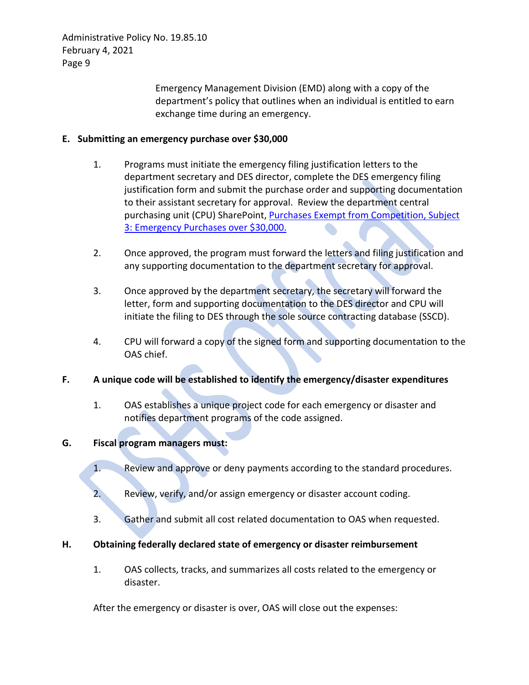> Emergency Management Division (EMD) along with a copy of the department's policy that outlines when an individual is entitled to earn exchange time during an emergency.

# **E. Submitting an emergency purchase over \$30,000**

- 1. Programs must initiate the emergency filing justification letters to the department secretary and DES director, complete the DES emergency filing justification form and submit the purchase order and supporting documentation to their assistant secretary for approval. Review the department central purchasing unit (CPU) SharePoint, [Purchases Exempt from Competition, Subject](http://one.dshs.wa.lcl/FS/OSS/CPU/Purchasing/Pages/PurchasesExemptfromCompetitionSoleSourceEmergencyPurchasesOver$10%2c000.aspx)  [3: Emergency Purchases over \\$30,000.](http://one.dshs.wa.lcl/FS/OSS/CPU/Purchasing/Pages/PurchasesExemptfromCompetitionSoleSourceEmergencyPurchasesOver$10%2c000.aspx)
- 2. Once approved, the program must forward the letters and filing justification and any supporting documentation to the department secretary for approval.
- 3. Once approved by the department secretary, the secretary will forward the letter, form and supporting documentation to the DES director and CPU will initiate the filing to DES through the sole source contracting database (SSCD).
- 4. CPU will forward a copy of the signed form and supporting documentation to the OAS chief.
- **F. A unique code will be established to identify the emergency/disaster expenditures** 
	- 1. OAS establishes a unique project code for each emergency or disaster and notifies department programs of the code assigned.

# **G. Fiscal program managers must:**

- 1. Review and approve or deny payments according to the standard procedures.
- 2. Review, verify, and/or assign emergency or disaster account coding.
- 3. Gather and submit all cost related documentation to OAS when requested.

# **H. Obtaining federally declared state of emergency or disaster reimbursement**

1. OAS collects, tracks, and summarizes all costs related to the emergency or disaster.

After the emergency or disaster is over, OAS will close out the expenses: